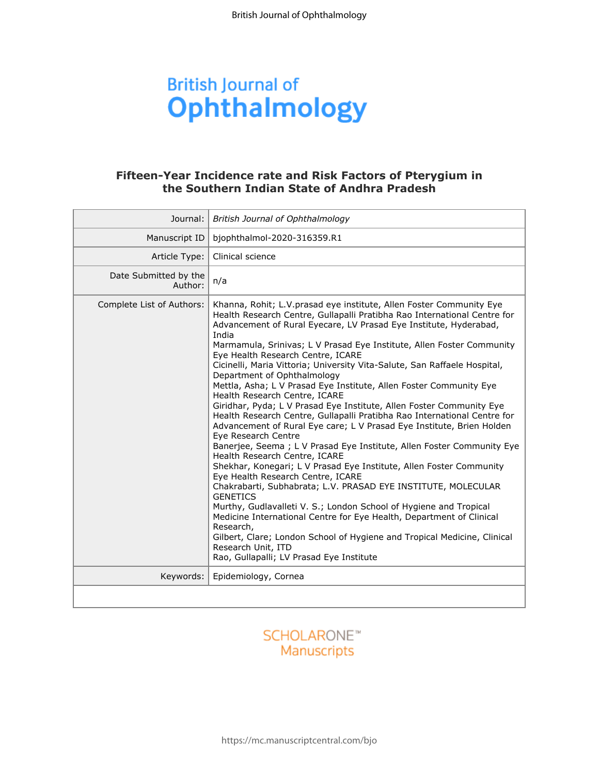# **British Journal of Ophthalmology**

# **the Southern Indian State of Andhra Pradesh**

|                                  | Fifteen-Year Incidence rate and Risk Factors of Pterygium in<br>the Southern Indian State of Andhra Pradesh                                                                                                                                                                                                                                                                                                                                                                                                                                                                                                                                                                                                                                                                                                                                                                                                                                                                                                                                                                                                                                                                                                                                                                                                                                                                                                                          |
|----------------------------------|--------------------------------------------------------------------------------------------------------------------------------------------------------------------------------------------------------------------------------------------------------------------------------------------------------------------------------------------------------------------------------------------------------------------------------------------------------------------------------------------------------------------------------------------------------------------------------------------------------------------------------------------------------------------------------------------------------------------------------------------------------------------------------------------------------------------------------------------------------------------------------------------------------------------------------------------------------------------------------------------------------------------------------------------------------------------------------------------------------------------------------------------------------------------------------------------------------------------------------------------------------------------------------------------------------------------------------------------------------------------------------------------------------------------------------------|
| Journal:                         | British Journal of Ophthalmology                                                                                                                                                                                                                                                                                                                                                                                                                                                                                                                                                                                                                                                                                                                                                                                                                                                                                                                                                                                                                                                                                                                                                                                                                                                                                                                                                                                                     |
| Manuscript ID                    | bjophthalmol-2020-316359.R1                                                                                                                                                                                                                                                                                                                                                                                                                                                                                                                                                                                                                                                                                                                                                                                                                                                                                                                                                                                                                                                                                                                                                                                                                                                                                                                                                                                                          |
| Article Type:                    | Clinical science                                                                                                                                                                                                                                                                                                                                                                                                                                                                                                                                                                                                                                                                                                                                                                                                                                                                                                                                                                                                                                                                                                                                                                                                                                                                                                                                                                                                                     |
| Date Submitted by the<br>Author: | n/a                                                                                                                                                                                                                                                                                                                                                                                                                                                                                                                                                                                                                                                                                                                                                                                                                                                                                                                                                                                                                                                                                                                                                                                                                                                                                                                                                                                                                                  |
| Complete List of Authors:        | Khanna, Rohit; L.V.prasad eye institute, Allen Foster Community Eye<br>Health Research Centre, Gullapalli Pratibha Rao International Centre for<br>Advancement of Rural Eyecare, LV Prasad Eye Institute, Hyderabad,<br>India<br>Marmamula, Srinivas; L V Prasad Eye Institute, Allen Foster Community<br>Eye Health Research Centre, ICARE<br>Cicinelli, Maria Vittoria; University Vita-Salute, San Raffaele Hospital,<br>Department of Ophthalmology<br>Mettla, Asha; L V Prasad Eye Institute, Allen Foster Community Eye<br>Health Research Centre, ICARE<br>Giridhar, Pyda; L V Prasad Eye Institute, Allen Foster Community Eye<br>Health Research Centre, Gullapalli Pratibha Rao International Centre for<br>Advancement of Rural Eye care; L V Prasad Eye Institute, Brien Holden<br>Eye Research Centre<br>Banerjee, Seema; L V Prasad Eye Institute, Allen Foster Community Eye<br>Health Research Centre, ICARE<br>Shekhar, Konegari; L V Prasad Eye Institute, Allen Foster Community<br>Eye Health Research Centre, ICARE<br>Chakrabarti, Subhabrata; L.V. PRASAD EYE INSTITUTE, MOLECULAR<br><b>GENETICS</b><br>Murthy, Gudlavalleti V. S.; London School of Hygiene and Tropical<br>Medicine International Centre for Eye Health, Department of Clinical<br>Research,<br>Gilbert, Clare; London School of Hygiene and Tropical Medicine, Clinical<br>Research Unit, ITD<br>Rao, Gullapalli; LV Prasad Eye Institute |
| Keywords:                        | Epidemiology, Cornea                                                                                                                                                                                                                                                                                                                                                                                                                                                                                                                                                                                                                                                                                                                                                                                                                                                                                                                                                                                                                                                                                                                                                                                                                                                                                                                                                                                                                 |
|                                  |                                                                                                                                                                                                                                                                                                                                                                                                                                                                                                                                                                                                                                                                                                                                                                                                                                                                                                                                                                                                                                                                                                                                                                                                                                                                                                                                                                                                                                      |

## **SCHOLARONE™** Manuscripts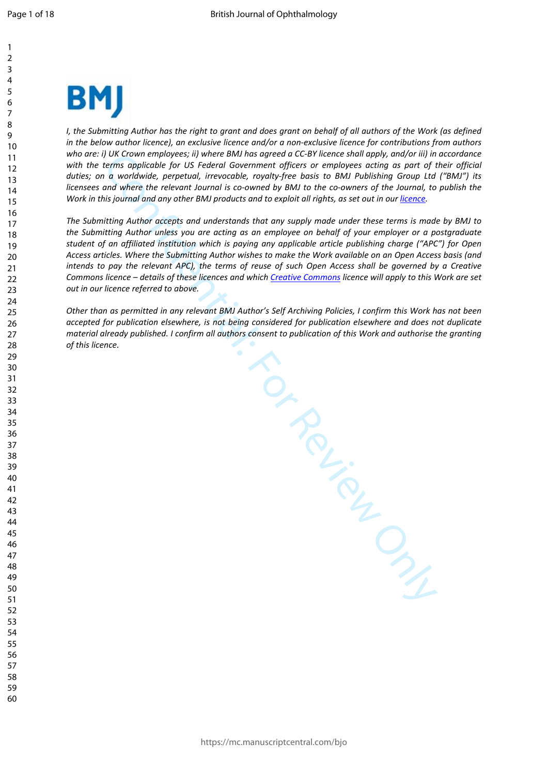

*I*, the Submitting Author has the right to grant and does grant on behalf of all authors of the Work (as defined *in the below author licence), an exclusive licence and/or a non-exclusive licence for contributions from authors who are: i) UK Crown employees; ii) where BMJ has agreed a CC-BY licence shall apply, and/or iii) in accordance with the terms applicable for US Federal Government officers or employees acting as part of their official duties; on a worldwide, perpetual, irrevocable, royalty-free basis to BMJ Publishing Group Ltd ("BMJ") its licensees and where the relevant Journal is co-owned by BMJ to the co-owners of the Journal, to publish the Work in this journal and any other BMJ products and to exploit all rights, as set out in our licence.*

*The Submitting Author accepts and understands that any supply made under these terms is made by BMJ to the Submitting Author unless you are acting as an employee on behalf of your employer or a postgraduate student of an affiliated institution which is paying any applicable article publishing charge ("APC") for Open Access articles. Where the Submitting Author wishes to make the Work available on an Open Access basis (and intends to pay the relevant APC), the terms of reuse of such Open Access shall be governed by a Creative Commons licence – details of these licences and which Creative Commons licence will apply to this Work are set out in our licence referred to above.* 

TO REVIEW ONLY *Other than as permitted in any relevant BMJ Author's Self Archiving Policies, I confirm this Work has not been accepted for publication elsewhere, is not being considered for publication elsewhere and does not duplicate material already published. I confirm all authors consent to publication of this Work and authorise the granting of this licence.*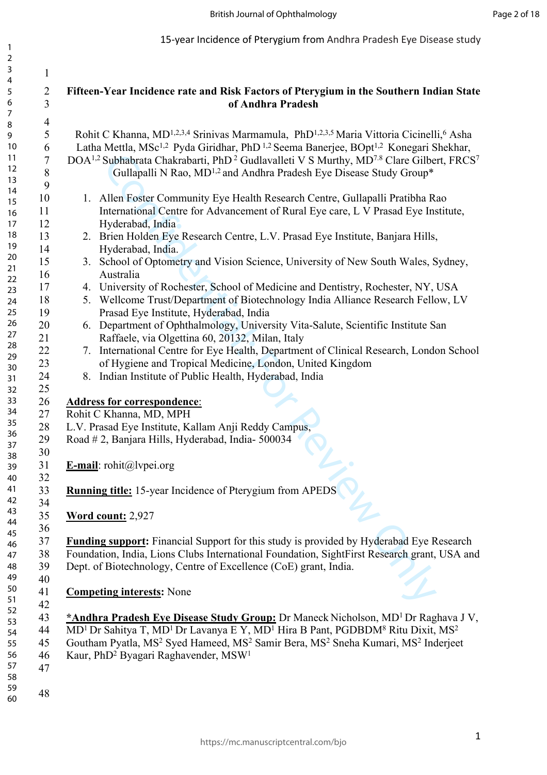#### British Journal of Ophthalmology

15-year Incidence of Pterygium from Andhra Pradesh Eye Disease study

| $\overline{2}$ |                         |                                                                                                                                            |
|----------------|-------------------------|--------------------------------------------------------------------------------------------------------------------------------------------|
| $\mathbf{3}$   | $\mathbf{1}$            |                                                                                                                                            |
| $\overline{4}$ |                         |                                                                                                                                            |
| 5              | $\overline{\mathbf{c}}$ | Fifteen-Year Incidence rate and Risk Factors of Pterygium in the Southern Indian State                                                     |
| 6              | $\overline{3}$          | of Andhra Pradesh                                                                                                                          |
| $\overline{7}$ |                         |                                                                                                                                            |
| $\, 8$         | $\overline{4}$          |                                                                                                                                            |
| 9              | 5                       | Rohit C Khanna, MD <sup>1,2,3,4</sup> Srinivas Marmamula, PhD <sup>1,2,3,5</sup> Maria Vittoria Cicinelli, <sup>6</sup> Asha               |
| 10             | 6                       | Latha Mettla, MSc <sup>1,2</sup> Pyda Giridhar, PhD <sup>1,2</sup> Seema Banerjee, BOpt <sup>1,2</sup> Konegari Shekhar,                   |
| 11             | 7                       | DOA <sup>1,2</sup> Subhabrata Chakrabarti, PhD <sup>2</sup> Gudlavalleti V S Murthy, MD <sup>7.8</sup> Clare Gilbert, FRCS <sup>7</sup>    |
| 12             | 8                       | Gullapalli N Rao, MD <sup>1,2</sup> and Andhra Pradesh Eye Disease Study Group*                                                            |
| 13             | 9                       |                                                                                                                                            |
| 14             | 10                      | 1. Allen Foster Community Eye Health Research Centre, Gullapalli Pratibha Rao                                                              |
| 15             |                         |                                                                                                                                            |
| 16             | 11                      | International Centre for Advancement of Rural Eye care, L V Prasad Eye Institute,                                                          |
| 17             | 12                      | Hyderabad, India                                                                                                                           |
| 18             | 13                      | 2. Brien Holden Eye Research Centre, L.V. Prasad Eye Institute, Banjara Hills,                                                             |
| 19             | 14                      | Hyderabad, India.                                                                                                                          |
| 20             | 15                      | 3. School of Optometry and Vision Science, University of New South Wales, Sydney,                                                          |
| 21             | 16                      | Australia                                                                                                                                  |
| 22             | 17                      | 4. University of Rochester, School of Medicine and Dentistry, Rochester, NY, USA                                                           |
| 23             | 18                      | 5. Wellcome Trust/Department of Biotechnology India Alliance Research Fellow, LV                                                           |
| 24             |                         |                                                                                                                                            |
| 25             | 19                      | Prasad Eye Institute, Hyderabad, India                                                                                                     |
| 26<br>27       | 20                      | 6. Department of Ophthalmology, University Vita-Salute, Scientific Institute San                                                           |
| 28             | 21                      | Raffaele, via Olgettina 60, 20132, Milan, Italy                                                                                            |
| 29             | 22                      | 7. International Centre for Eye Health, Department of Clinical Research, London School                                                     |
| 30             | 23                      | of Hygiene and Tropical Medicine, London, United Kingdom                                                                                   |
| 31             | 24                      | 8. Indian Institute of Public Health, Hyderabad, India                                                                                     |
| 32             | 25                      |                                                                                                                                            |
| 33             | 26                      | <b>Address for correspondence:</b>                                                                                                         |
| 34             |                         |                                                                                                                                            |
| 35             | 27                      | Rohit C Khanna, MD, MPH                                                                                                                    |
| 36             | $28\,$                  | L.V. Prasad Eye Institute, Kallam Anji Reddy Campus,                                                                                       |
| 37             | 29                      | Road # 2, Banjara Hills, Hyderabad, India-500034                                                                                           |
| 38             | 30                      |                                                                                                                                            |
| 39             | 31                      | <b>E-mail</b> : rohit@lvpei.org                                                                                                            |
| 40             | 32                      |                                                                                                                                            |
| 41             | 33                      | <b>Running title:</b> 15-year Incidence of Pterygium from APEDS                                                                            |
| 42             | 34                      |                                                                                                                                            |
| 43             | 35                      | Word count: 2,927                                                                                                                          |
| 44             | 36                      |                                                                                                                                            |
| 45             |                         |                                                                                                                                            |
| 46             | 37                      | <b>Funding support:</b> Financial Support for this study is provided by Hyderabad Eye Research                                             |
| 47             | 38                      | Foundation, India, Lions Clubs International Foundation, SightFirst Research grant, USA and                                                |
| 48             | 39                      | Dept. of Biotechnology, Centre of Excellence (CoE) grant, India.                                                                           |
| 49             | 40                      |                                                                                                                                            |
| 50             | 41                      | <b>Competing interests:</b> None                                                                                                           |
| 51             | 42                      |                                                                                                                                            |
| 52             | 43                      | *Andhra Pradesh Eye Disease Study Group: Dr Maneck Nicholson, MD <sup>1</sup> Dr Raghava J V,                                              |
| 53             | 44                      | MD <sup>1</sup> Dr Sahitya T, MD <sup>1</sup> Dr Lavanya E Y, MD <sup>1</sup> Hira B Pant, PGDBDM <sup>8</sup> Ritu Dixit, MS <sup>2</sup> |
| 54             | 45                      | Goutham Pyatla, MS <sup>2</sup> Syed Hameed, MS <sup>2</sup> Samir Bera, MS <sup>2</sup> Sneha Kumari, MS <sup>2</sup> Inderjeet           |
| 55             |                         |                                                                                                                                            |
| 56<br>57       | 46                      | Kaur, PhD <sup>2</sup> Byagari Raghavender, MSW <sup>1</sup>                                                                               |
| 58             | 47                      |                                                                                                                                            |
| 59             |                         |                                                                                                                                            |
| 60             | 48                      |                                                                                                                                            |
|                |                         |                                                                                                                                            |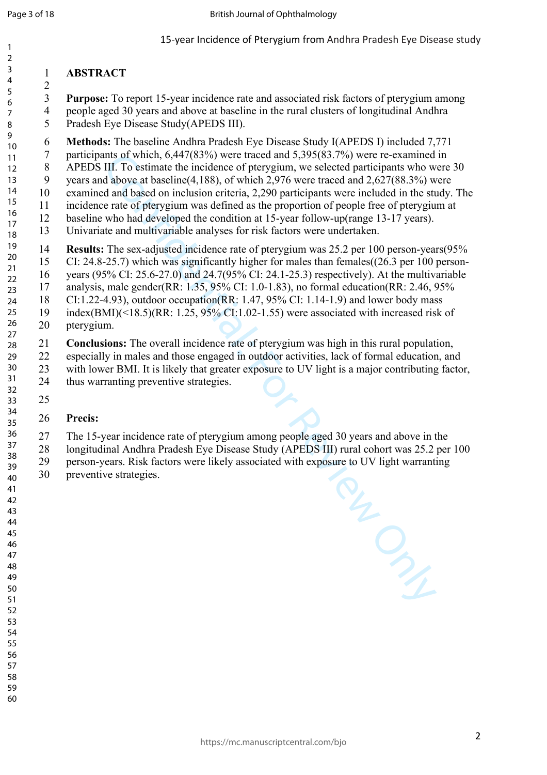#### **ABSTRACT**

 **Purpose:** To report 15-year incidence rate and associated risk factors of pterygium among 4 people aged 30 years and above at baseline in the rural clusters of longitudinal Andhra 5 Pradesh Eye Disease Study(APEDS III).

 **Methods:** The baseline Andhra Pradesh Eye Disease Study I(APEDS I) included 7,771 

- 7 participants of which, 6,447(83%) were traced and 5,395(83.7%) were re-examined in
- 8 APEDS III. To estimate the incidence of pterygium, we selected participants who were 30
- 9 years and above at baseline(4,188), of which 2,976 were traced and 2,627(88.3%) were
- 10 examined and based on inclusion criteria, 2,290 participants were included in the study. The 11 incidence rate of pterygium was defined as the proportion of people free of pterygium at
- 12 baseline who had developed the condition at 15-year follow-up(range 13-17 years).
- 13 Univariate and multivariable analyses for risk factors were undertaken.

 **Results:** The sex-adjusted incidence rate of pterygium was 25.2 per 100 person-years(95% 15 CI: 24.8-25.7) which was significantly higher for males than females((26.3 per 100 person-16 years (95% CI: 25.6-27.0) and 24.7(95% CI: 24.1-25.3) respectively). At the multivariable 17 analysis, male gender(RR: 1.35, 95% CI: 1.0-1.83), no formal education(RR: 2.46, 95% 

- 18 CI:1.22-4.93), outdoor occupation(RR: 1.47, 95% CI: 1.14-1.9) and lower body mass
- 19 index(BMI)(<18.5)(RR: 1.25, 95% CI:1.02-1.55) were associated with increased risk of 20 pterygium.
- **Conclusions:** The overall incidence rate of pterygium was high in this rural population, 22 especially in males and those engaged in outdoor activities, lack of formal education, and 23 with lower BMI. It is likely that greater exposure to UV light is a major contributing factor, 24 thus warranting preventive strategies.
- 

 

### **Precis:**

- 27 The 15-year incidence rate of pterygium among people aged 30 years and above in the
- 28 longitudinal Andhra Pradesh Eye Disease Study (APEDS III) rural cohort was 25.2 per 100
	- Confidential: For Review Only 29 person-years. Risk factors were likely associated with exposure to UV light warranting 30 preventive strategies.
-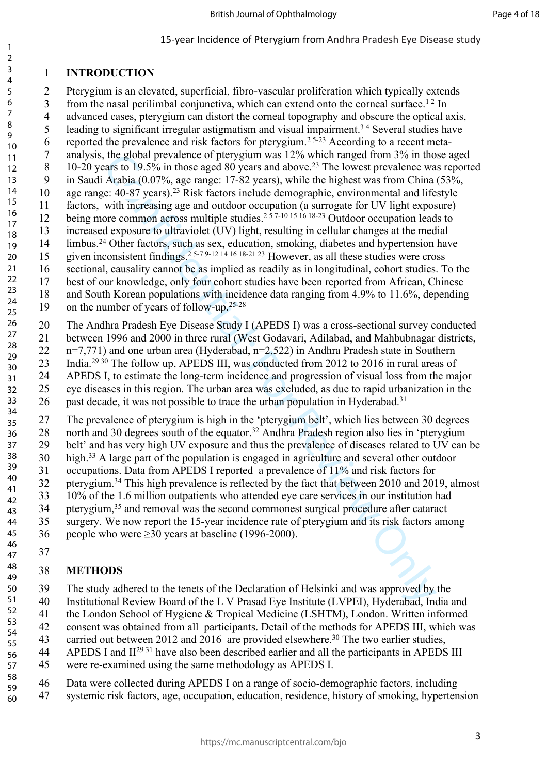# 1 **INTRODUCTION**

1 2 3

the global prevalence of petrygum was 12% which ranged from 3% in tho<br>stars to 19.5% in those aged 80 years and above.<sup>23</sup> The lowest prevalence wa<br>Arabia (0.07%, age range; 17-82 years), while the highest was from China<br> 2 Pterygium is an elevated, superficial, fibro-vascular proliferation which typically extends 3 from the nasal perilimbal conjunctiva, which can extend onto the corneal surface.<sup>12</sup> In 4 advanced cases, pterygium can distort the corneal topography and obscure the optical axis, 5 leading to significant irregular astigmatism and visual impairment.<sup>34</sup> Several studies have 6 reported the prevalence and risk factors for pterygium.<sup>25-23</sup> According to a recent meta-7 analysis, the global prevalence of pterygium was 12% which ranged from 3% in those aged 8 10-20 years to 19.5% in those aged 80 years and above.<sup>23</sup> The lowest prevalence was reported 9 in Saudi Arabia (0.07%, age range: 17-82 years), while the highest was from China (53%, 10 age range: 40-87 years).<sup>23</sup> Risk factors include demographic, environmental and lifestyle 11 factors, with increasing age and outdoor occupation (a surrogate for UV light exposure) 12 being more common across multiple studies.<sup>2 5 7-10 15 16 18-23</sup> Outdoor occupation leads to 13 increased exposure to ultraviolet (UV) light, resulting in cellular changes at the medial 14 limbus.<sup>24</sup> Other factors, such as sex, education, smoking, diabetes and hypertension have 15 given inconsistent findings.2 5-7 9-12 14 16 18-21 23 However, as all these studies were cross 16 sectional, causality cannot be as implied as readily as in longitudinal, cohort studies. To the 17 best of our knowledge, only four cohort studies have been reported from African, Chinese 18 and South Korean populations with incidence data ranging from 4.9% to 11.6%, depending 19 on the number of years of follow-up.25-28 20 The Andhra Pradesh Eye Disease Study I (APEDS I) was a cross-sectional survey conducted 21 between 1996 and 2000 in three rural (West Godavari, Adilabad, and Mahbubnagar districts, 22 n=7,771) and one urban area (Hyderabad, n=2,522) in Andhra Pradesh state in Southern 23 India.29 30 The follow up, APEDS III, was conducted from 2012 to 2016 in rural areas of 4 5 6 7 8 9 10 11 12 13 14 15 16 17 18 19 20 21 22 23 24 25 26 27 28 29 30

24 APEDS I, to estimate the long-term incidence and progression of visual loss from the major 25 eye diseases in this region. The urban area was excluded, as due to rapid urbanization in the 26 past decade, it was not possible to trace the urban population in Hyderabad.<sup>31</sup> 31 32 33 34

27 The prevalence of pterygium is high in the 'pterygium belt', which lies between 30 degrees 28 north and 30 degrees south of the equator.<sup>32</sup> Andhra Pradesh region also lies in 'pterygium 29 belt' and has very high UV exposure and thus the prevalence of diseases related to UV can be 30 high.<sup>33</sup> A large part of the population is engaged in agriculture and several other outdoor 31 occupations. Data from APEDS I reported a prevalence of 11% and risk factors for 32 pterygium.<sup>34</sup> This high prevalence is reflected by the fact that between 2010 and 2019, almost 33 10% of the 1.6 million outpatients who attended eye care services in our institution had 34 ptervgium,<sup>35</sup> and removal was the second commonest surgical procedure after cataract 35 surgery. We now report the 15-year incidence rate of pterygium and its risk factors among 36 people who were  $\geq$ 30 years at baseline (1996-2000). 35 36 37 38 39 40 41 42 43 44 45

#### 37 46 47

#### 38 **METHODS** 48 49

39 The study adhered to the tenets of the Declaration of Helsinki and was approved by the 40 Institutional Review Board of the L V Prasad Eye Institute (LVPEI), Hyderabad, India and 41 the London School of Hygiene & Tropical Medicine (LSHTM), London. Written informed 42 consent was obtained from all participants. Detail of the methods for APEDS III, which was 43 carried out between 2012 and 2016 are provided elsewhere.<sup>30</sup> The two earlier studies, 44 APEDS I and II<sup>29 31</sup> have also been described earlier and all the participants in APEDS III 45 were re-examined using the same methodology as APEDS I. 46 Data were collected during APEDS I on a range of socio-demographic factors, including 47 systemic risk factors, age, occupation, education, residence, history of smoking, hypertension 50 51 52 53 54 55 56 57 58 59 60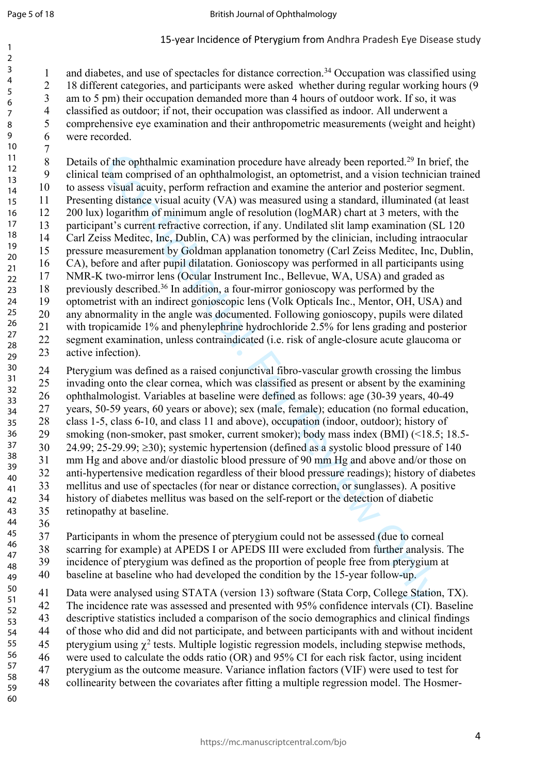1 and diabetes, and use of spectacles for distance correction.<sup>34</sup> Occupation was classified using 2 18 different categories, and participants were asked whether during regular working hours (9 3 am to 5 pm) their occupation demanded more than 4 hours of outdoor work. If so, it was 4 classified as outdoor; if not, their occupation was classified as indoor. All underwent a 5 comprehensive eye examination and their anthropometric measurements (weight and height)

6 were recorded. 9 10

of the ophthalmic examination procedure have already been reported.<sup>29</sup> In by<br>can comprised of an ophthalmologist, an optometrist, and a vision technicial<br>increasing conjugations of the more interaction and examine the un 7 8 Details of the ophthalmic examination procedure have already been reported.<sup>29</sup> In brief, the 9 clinical team comprised of an ophthalmologist, an optometrist, and a vision technician trained 10 to assess visual acuity, perform refraction and examine the anterior and posterior segment. 11 Presenting distance visual acuity (VA) was measured using a standard, illuminated (at least 12 200 lux) logarithm of minimum angle of resolution (logMAR) chart at 3 meters, with the 13 participant's current refractive correction, if any. Undilated slit lamp examination (SL 120 14 Carl Zeiss Meditec, Inc, Dublin, CA) was performed by the clinician, including intraocular 15 pressure measurement by Goldman applanation tonometry (Carl Zeiss Meditec, Inc, Dublin, 16 CA), before and after pupil dilatation. Gonioscopy was performed in all participants using 17 NMR-K two-mirror lens (Ocular Instrument Inc., Bellevue, WA, USA) and graded as 18 previously described.<sup>36</sup> In addition, a four-mirror gonioscopy was performed by the 19 optometrist with an indirect gonioscopic lens (Volk Opticals Inc., Mentor, OH, USA) and 20 any abnormality in the angle was documented. Following gonioscopy, pupils were dilated 21 with tropicamide 1% and phenylephrine hydrochloride 2.5% for lens grading and posterior 22 segment examination, unless contraindicated (i.e. risk of angle-closure acute glaucoma or 23 active infection). 11 12 13 14 15 16 17 18 19 20 21 22 23 24 25 26 27 28 29

24 Pterygium was defined as a raised conjunctival fibro-vascular growth crossing the limbus 25 invading onto the clear cornea, which was classified as present or absent by the examining 26 ophthalmologist. Variables at baseline were defined as follows: age (30-39 years, 40-49 27 years, 50-59 years, 60 years or above); sex (male, female); education (no formal education, 28 class 1-5, class 6-10, and class 11 and above), occupation (indoor, outdoor); history of 29 smoking (non-smoker, past smoker, current smoker); body mass index (BMI) (<18.5; 18.5- 30 24.99; 25-29.99;  $\geq$ 30); systemic hypertension (defined as a systolic blood pressure of 140 31 mm Hg and above and/or diastolic blood pressure of 90 mm Hg and above and/or those on 32 anti-hypertensive medication regardless of their blood pressure readings); history of diabetes 33 mellitus and use of spectacles (for near or distance correction, or sunglasses). A positive 34 history of diabetes mellitus was based on the self-report or the detection of diabetic 35 retinopathy at baseline. 36 30 31 32 33 34 35 36 37 38 39 40 41 42 43 44

37 Participants in whom the presence of pterygium could not be assessed (due to corneal 38 scarring for example) at APEDS I or APEDS III were excluded from further analysis. The 39 incidence of pterygium was defined as the proportion of people free from pterygium at 40 baseline at baseline who had developed the condition by the 15-year follow-up. 45 46 47 48 49

41 Data were analysed using STATA (version 13) software (Stata Corp, College Station, TX). 42 The incidence rate was assessed and presented with 95% confidence intervals (CI). Baseline 43 descriptive statistics included a comparison of the socio demographics and clinical findings 44 of those who did and did not participate, and between participants with and without incident 45 pterygium using  $\chi^2$  tests. Multiple logistic regression models, including stepwise methods, 46 were used to calculate the odds ratio (OR) and 95% CI for each risk factor, using incident 47 pterygium as the outcome measure. Variance inflation factors (VIF) were used to test for 48 collinearity between the covariates after fitting a multiple regression model. The Hosmer-50 51 52 53 54 55 56 57 58 59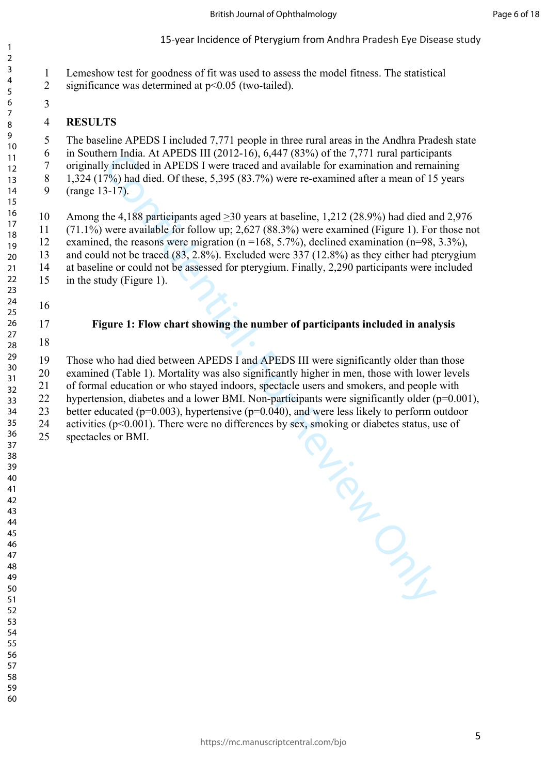- 1 Lemeshow test for goodness of fit was used to assess the model fitness. The statistical
- 2 significance was determined at p<0.05 (two-tailed).
- 

## **RESULTS**

5 The baseline APEDS I included 7,771 people in three rural areas in the Andhra Pradesh state 6 in Southern India. At APEDS III (2012-16), 6,447 (83%) of the 7,771 rural participants 7 originally included in APEDS I were traced and available for examination and remaining 8 1,324 (17%) had died. Of these, 5,395 (83.7%) were re-examined after a mean of 15 years 9 (range 13-17).

10 Among the 4,188 participants aged >30 years at baseline, 1,212 (28.9%) had died and 2,976 11 (71.1%) were available for follow up; 2,627 (88.3%) were examined (Figure 1). For those not 12 examined, the reasons were migration (n =168, 5.7%), declined examination (n=98, 3.3%), 13 and could not be traced (83, 2.8%). Excluded were 337 (12.8%) as they either had pterygium 14 at baseline or could not be assessed for pterygium. Finally, 2,290 participants were included 15 in the study (Figure 1).

 

 

# **Figure 1: Flow chart showing the number of participants included in analysis**

 

19 Those who had died between APEDS I and APEDS III were significantly older than those 20 examined (Table 1). Mortality was also significantly higher in men, those with lower levels 21 of formal education or who stayed indoors, spectacle users and smokers, and people with 22 hypertension, diabetes and a lower BMI. Non-participants were significantly older (p=0.001), 23 better educated (p=0.003), hypertensive (p=0.040), and were less likely to perform outdoor 24 activities (p<0.001). There were no differences by sex, smoking or diabetes status, use of 25 spectacles or BMI.

RICHTENS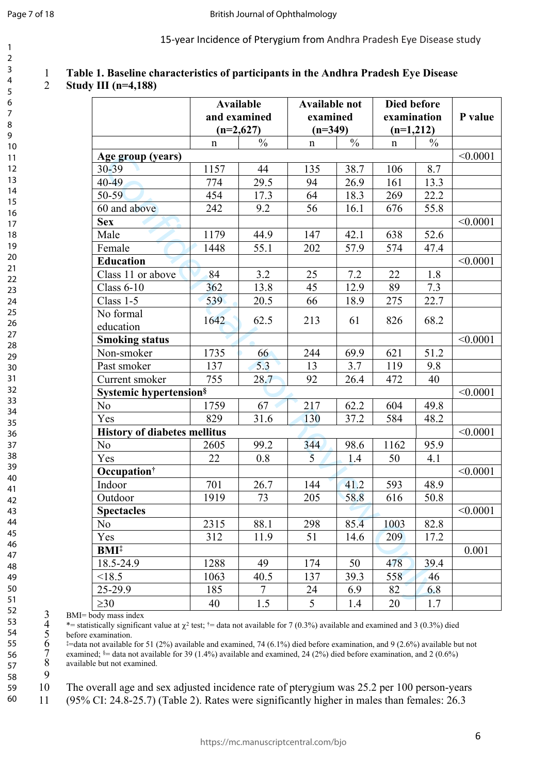|  |  |  |  |  | Table 1. Baseline characteristics of participants in the Andhra Pradesh Eye Disease |
|--|--|--|--|--|-------------------------------------------------------------------------------------|
|--|--|--|--|--|-------------------------------------------------------------------------------------|

#### 2 **Study III (n=4,188)**

|                                     |             | <b>Available</b><br>and examined<br>$(n=2,627)$ |             | <b>Available not</b><br>examined<br>$(n=349)$ |             | Died before<br>examination<br>$(n=1,212)$ |          |
|-------------------------------------|-------------|-------------------------------------------------|-------------|-----------------------------------------------|-------------|-------------------------------------------|----------|
|                                     | $\mathbf n$ | $\frac{0}{0}$                                   | $\mathbf n$ | $\frac{0}{0}$                                 | $\mathbf n$ | $\frac{0}{0}$                             |          |
| Age group (years)                   |             |                                                 |             |                                               |             |                                           | < 0.0001 |
| 30-39                               | 1157        | 44                                              | 135         | 38.7                                          | 106         | 8.7                                       |          |
| 40-49                               | 774         | 29.5                                            | 94          | 26.9                                          | 161         | 13.3                                      |          |
| $50 - 59$                           | 454         | 17.3                                            | 64          | 18.3                                          | 269         | 22.2                                      |          |
| 60 and above                        | 242         | 9.2                                             | 56          | 16.1                                          | 676         | 55.8                                      |          |
| <b>Sex</b>                          |             |                                                 |             |                                               |             |                                           | < 0.0001 |
| Male                                | 1179        | 44.9                                            | 147         | 42.1                                          | 638         | 52.6                                      |          |
| Female                              | 1448        | 55.1                                            | 202         | 57.9                                          | 574         | 47.4                                      |          |
| <b>Education</b>                    |             |                                                 |             |                                               |             |                                           | < 0.0001 |
| Class 11 or above                   | 84          | 3.2                                             | 25          | 7.2                                           | 22          | 1.8                                       |          |
| Class $6-10$                        | 362         | 13.8                                            | 45          | 12.9                                          | 89          | 7.3                                       |          |
| Class 1-5                           | 539         | 20.5                                            | 66          | 18.9                                          | 275         | 22.7                                      |          |
| No formal<br>education              | 1642        | 62.5                                            | 213         | 61                                            | 826         | 68.2                                      |          |
| <b>Smoking status</b>               |             |                                                 |             |                                               |             |                                           | < 0.0001 |
| Non-smoker                          | 1735        | 66                                              | 244         | 69.9                                          | 621         | 51.2                                      |          |
| Past smoker                         | 137         | 5.3                                             | 13          | 3.7                                           | 119         | 9.8                                       |          |
| Current smoker                      | 755         | 28.7                                            | 92          | 26.4                                          | 472         | 40                                        |          |
| <b>Systemic hypertension</b> §      |             |                                                 |             |                                               |             |                                           | < 0.0001 |
| N <sub>o</sub>                      | 1759        | 67                                              | 217         | 62.2                                          | 604         | 49.8                                      |          |
| Yes                                 | 829         | 31.6                                            | 130         | 37.2                                          | 584         | 48.2                                      |          |
| <b>History of diabetes mellitus</b> |             |                                                 |             |                                               |             |                                           | < 0.0001 |
| N <sub>o</sub>                      | 2605        | 99.2                                            | 344         | 98.6                                          | 1162        | 95.9                                      |          |
| Yes                                 | 22          | 0.8                                             | 5           | 1.4                                           | 50          | 4.1                                       |          |
| Occupation <sup>†</sup>             |             |                                                 |             |                                               |             |                                           | < 0.0001 |
| Indoor                              | 701         | 26.7                                            | 144         | 41.2                                          | 593         | 48.9                                      |          |
| Outdoor                             | 1919        | 73                                              | 205         | 58.8                                          | 616         | 50.8                                      |          |
| <b>Spectacles</b>                   |             |                                                 |             |                                               |             |                                           | < 0.0001 |
| N <sub>o</sub>                      | 2315        | 88.1                                            | 298         | 85.4                                          | 1003        | 82.8                                      |          |
| Yes                                 | 312         | 11.9                                            | 51          | 14.6                                          | 209         | 17.2                                      |          |
| <b>BMI</b> <sup>‡</sup>             |             |                                                 |             |                                               |             |                                           | 0.001    |
| 18.5-24.9                           | 1288        | 49                                              | 174         | 50                                            | 478         | 39.4                                      |          |
| < 18.5                              | 1063        | 40.5                                            | 137         | 39.3                                          | 558         | 46                                        |          |
| 25-29.9                             | 185         | $\tau$                                          | 24          | 6.9                                           | 82          | 6.8                                       |          |
| $\geq 30$                           | 40          | 1.5                                             | 5           | 1.4                                           | 20          | 1.7                                       |          |
|                                     |             |                                                 |             |                                               |             |                                           |          |

9

<sup>4</sup> \*= statistically significant value at  $\chi^2$  test; <sup>†</sup>= data not available for 7 (0.3%) available and examined and 3 (0.3%) died before examination.

3 BMI= body mass index<br>4 \*= statistically significa<br>5 before examination.<br>6  $\stackrel{\text{*}=}{=}$ data not available for<br>7 examined;  $\stackrel{\text{s}=}{=}$ data not available but not examin  $\text{#}=$ data not available for 51 (2%) available and examined, 74 (6.1%) died before examination, and 9 (2.6%) available but not examined; §= data not available for 39 (1.4%) available and examined, 24 (2%) died before examination, and 2 (0.6%) available but not examined.

10 The overall age and sex adjusted incidence rate of pterygium was 25.2 per 100 person-years 11 (95% CI: 24.8-25.7) (Table 2). Rates were significantly higher in males than females: 26.3 58 59 60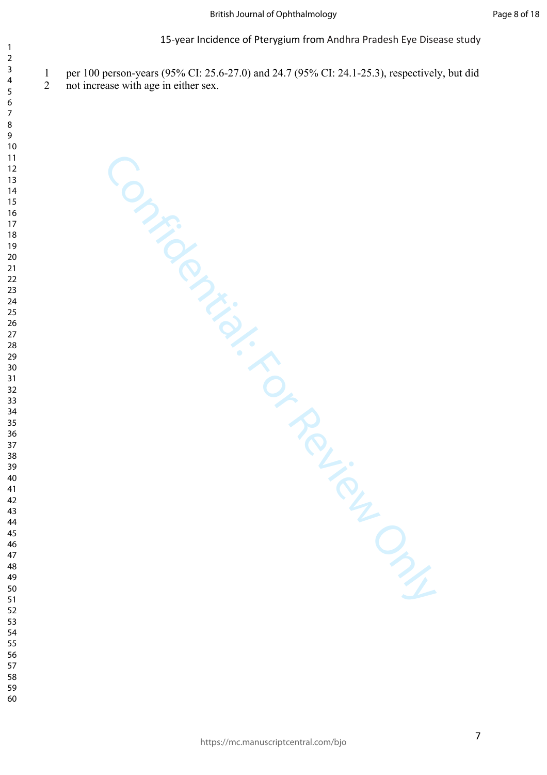1 per 100 person-years (95% CI: 25.6-27.0) and 24.7 (95% CI: 24.1-25.3), respectively, but did

Confidential: For Review Only

2 not increase with age in either sex.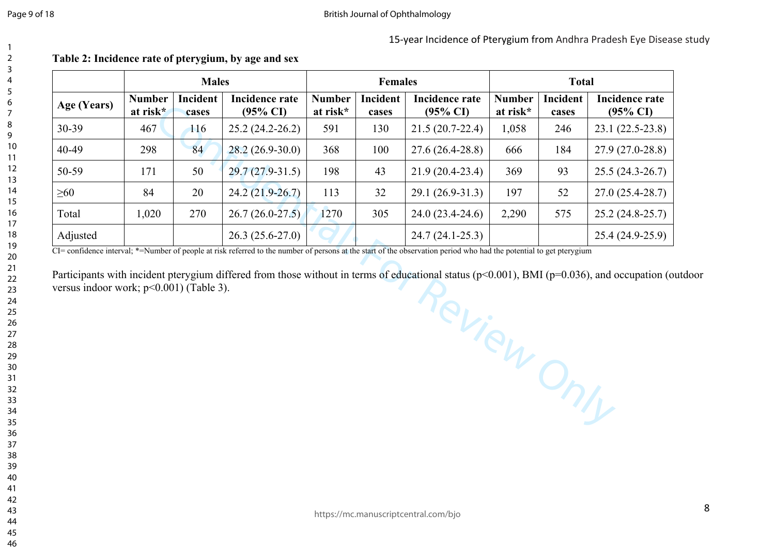15-year Incidence of Pterygium from Andhra Pradesh Eye Disease study

|             |                                                                       | <b>Males</b> |                       | <b>Females</b>                                                                          |     |                           | <b>Total</b>      |                                       |                   |
|-------------|-----------------------------------------------------------------------|--------------|-----------------------|-----------------------------------------------------------------------------------------|-----|---------------------------|-------------------|---------------------------------------|-------------------|
| Age (Years) | Incident<br><b>Number</b><br>at risk*<br>$(95\% \text{ CI})$<br>cases |              | <b>Incidence rate</b> | Incident<br><b>Number</b><br>Incidence rate<br>at risk*<br>$(95\% \text{ CI})$<br>cases |     | <b>Number</b><br>at risk* | Incident<br>cases | Incidence rate<br>$(95\% \text{ CI})$ |                   |
| 30-39       | 467                                                                   | 116          | $25.2(24.2 - 26.2)$   | 591                                                                                     | 130 | $21.5(20.7-22.4)$         | 1,058             | 246                                   | $23.1(22.5-23.8)$ |
| 40-49       | 298                                                                   | 84           | $28.2(26.9-30.0)$     | 368                                                                                     | 100 | $27.6(26.4-28.8)$         | 666               | 184                                   | $27.9(27.0-28.8)$ |
| 50-59       | 171                                                                   | 50           | $29.7(27.9-31.5)$     | 198                                                                                     | 43  | $21.9(20.4-23.4)$         | 369               | 93                                    | $25.5(24.3-26.7)$ |
| $\geq 60$   | 84                                                                    | 20           | $24.2(21.9-26.7)$     | 113                                                                                     | 32  | $29.1(26.9-31.3)$         | 197               | 52                                    | $27.0(25.4-28.7)$ |
| Total       | 1,020                                                                 | 270          | $26.7(26.0-27.5)$     | 1270                                                                                    | 305 | $24.0(23.4-24.6)$         | 2,290             | 575                                   | $25.2(24.8-25.7)$ |
| Adjusted    |                                                                       |              | $26.3(25.6-27.0)$     |                                                                                         |     | $24.7(24.1-25.3)$         |                   |                                       | $25.4(24.9-25.9)$ |

# **Table 2: Incidence rate of pterygium, by age and sex**

 $\overline{CI}$  confidence interval; \*=Number of people at risk referred to the number of persons at the start of the observation period who had the potential to get pterygium

Review Only Participants with incident pterygium differed from those without in terms of educational status (p<0.001), BMI (p=0.036), and occupation (outdoor versus indoor work; p<0.001) (Table 3).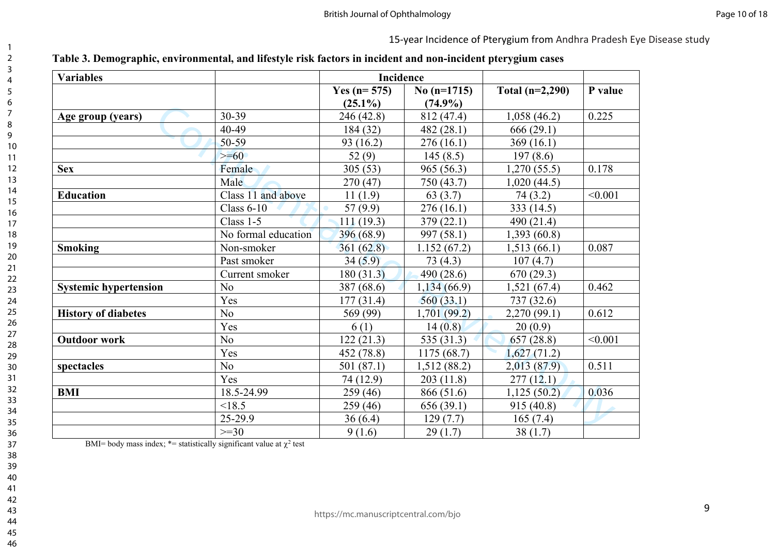| <b>Variables</b>             |                     | Incidence                       |                             |                   |         |
|------------------------------|---------------------|---------------------------------|-----------------------------|-------------------|---------|
|                              |                     | Yes ( $n = 575$ )<br>$(25.1\%)$ | No $(n=1715)$<br>$(74.9\%)$ | Total $(n=2,290)$ | P value |
| Age group (years)            | 30-39               | 246 (42.8)                      | 812 (47.4)                  | 1,058(46.2)       | 0.225   |
|                              | 40-49               | 184 (32)                        | 482(28.1)                   | 666(29.1)         |         |
|                              | 50-59               | 93(16.2)                        | 276(16.1)                   | 369(16.1)         |         |
|                              | $\geq=60$           | 52 $(9)$                        | 145(8.5)                    | 197(8.6)          |         |
| <b>Sex</b>                   | Female              | 305(53)                         | 965(56.3)                   | 1,270(55.5)       | 0.178   |
|                              | Male                | 270(47)                         | 750 (43.7)                  | 1,020(44.5)       |         |
| <b>Education</b>             | Class 11 and above  | 11(1.9)                         | 63(3.7)                     | 74(3.2)           | < 0.001 |
|                              | Class $6-10$        | 57(9.9)                         | 276(16.1)                   | 333(14.5)         |         |
|                              | Class 1-5           | 111(19.3)                       | 379(22.1)                   | 490 (21.4)        |         |
|                              | No formal education | 396 (68.9)                      | 997(58.1)                   | 1,393(60.8)       |         |
| <b>Smoking</b>               | Non-smoker          | 361(62.8)                       | 1.152(67.2)                 | 1,513(66.1)       | 0.087   |
|                              | Past smoker         | 34(5.9)                         | 73(4.3)                     | 107(4.7)          |         |
|                              | Current smoker      | 180(31.3)                       | 490(28.6)                   | 670(29.3)         |         |
| <b>Systemic hypertension</b> | N <sub>o</sub>      | 387 (68.6)                      | 1,134(66.9)                 | 1,521(67.4)       | 0.462   |
|                              | Yes                 | 177(31.4)                       | 560(33.1)                   | 737(32.6)         |         |
| <b>History of diabetes</b>   | N <sub>o</sub>      | 569 (99)                        | 1,701(99.2)                 | 2,270(99.1)       | 0.612   |
|                              | Yes                 | 6(1)                            | 14(0.8)                     | 20(0.9)           |         |
| <b>Outdoor work</b>          | No                  | 122(21.3)                       | 535 $(31.3)$                | 657(28.8)         | < 0.001 |
|                              | Yes                 | 452 (78.8)                      | 1175(68.7)                  | 1,627(71.2)       |         |
| spectacles                   | N <sub>o</sub>      | 501 (87.1)                      | 1,512(88.2)                 | 2,013(87.9)       | 0.511   |
|                              | Yes                 | 74(12.9)                        | 203(11.8)                   | 277(12.1)         |         |
| <b>BMI</b>                   | 18.5-24.99          | 259(46)                         | 866 (51.6)                  | 1,125(50.2)       | 0.036   |
|                              | < 18.5              | 259(46)                         | 656(39.1)                   | 915 (40.8)        |         |
|                              | 25-29.9             | 36(6.4)                         | 129(7.7)                    | 165(7.4)          |         |
|                              | $>=30$              | 9(1.6)                          | 29(1.7)                     | 38(1.7)           |         |

BMI= body mass index;  $*$ = statistically significant value at  $\chi^2$  test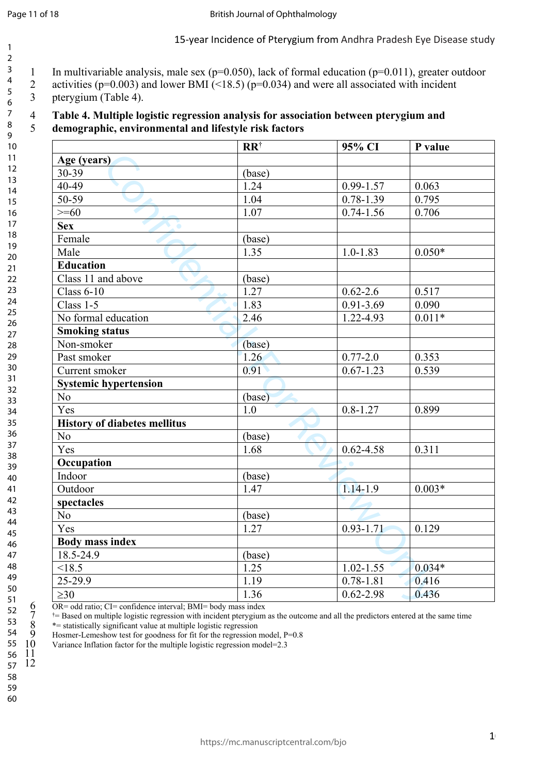15-year Incidence of Pterygium from Andhra Pradesh Eye Disease study

1 In multivariable analysis, male sex (p=0.050), lack of formal education (p=0.011), greater outdoor 3 4

- 2 activities ( $p=0.003$ ) and lower BMI (<18.5) ( $p=0.034$ ) and were all associated with incident
- 3 pterygium (Table 4).

#### 4 **Table 4. Multiple logistic regression analysis for association between pterygium and**  5 **demographic, environmental and lifestyle risk factors**

|                                     | $RR^{\dagger}$    | 95% CI           | P value  |
|-------------------------------------|-------------------|------------------|----------|
| Age (years)                         |                   |                  |          |
| 30-39                               | (base)            |                  |          |
| $40-49$                             | 1.24              | $0.99 - 1.57$    | 0.063    |
| 50-59                               | 1.04              | $0.78 - 1.39$    | 0.795    |
| $>= 60$                             | 1.07              | $0.74 - 1.56$    | 0.706    |
| <b>Sex</b>                          |                   |                  |          |
| Female                              | (base)            |                  |          |
| Male                                | 1.35              | $1.0 - 1.83$     | $0.050*$ |
| <b>Education</b>                    |                   |                  |          |
| Class 11 and above                  | (base)            |                  |          |
| Class $6-10$                        | 1.27              | $0.62 - 2.6$     | 0.517    |
| Class 1-5                           | 1.83              | $0.91 - 3.69$    | 0.090    |
| No formal education                 | 2.46              | 1.22-4.93        | $0.011*$ |
| <b>Smoking status</b>               |                   |                  |          |
| Non-smoker                          | (base)            |                  |          |
| Past smoker                         | 1.26              | $0.77 - 2.0$     | 0.353    |
| Current smoker                      | 0.91              | $0.67 - 1.23$    | 0.539    |
| <b>Systemic hypertension</b>        |                   |                  |          |
| No                                  | (base)            |                  |          |
| Yes                                 | 1.0               | $0.8 - 1.27$     | 0.899    |
| <b>History of diabetes mellitus</b> |                   |                  |          |
| No                                  | (base)            |                  |          |
| Yes                                 | 1.68              | $0.62 - 4.58$    | 0.311    |
| Occupation                          |                   | $\ddot{\bullet}$ |          |
| Indoor                              | (base)            |                  |          |
| Outdoor                             | 1.47              | $1.14 - 1.9$     | $0.003*$ |
| spectacles                          |                   |                  |          |
| N <sub>o</sub>                      | (base)            |                  |          |
| Yes                                 | 1.27              | $0.93 - 1.71$    | 0.129    |
| <b>Body mass index</b>              |                   |                  |          |
| 18.5-24.9                           | (base)            |                  |          |
| < 18.5                              | 1.25              | $1.02 - 1.55$    | $0.034*$ |
| 25-29.9                             | $\overline{1.19}$ | $0.78 - 1.81$    | 0.416    |
| $\geq 30$                           | 1.36              | $0.62 - 2.98$    | 0.436    |

6 OR= odd ratio; CI= confidence interval; BMI= body mass index  $7 \times 10^{-15}$  = Based on multiple logistic regression with incident pterversion

7  $^{\dagger}$  = Based on multiple logistic regression with incident pterygium as the outcome and all the predictors entered at the same time<br>8  $^{\dagger}$  = statistically significant value at multiple logistic regression<br>9 Hosmer \*= statistically significant value at multiple logistic regression

Hosmer-Lemeshow test for goodness for fit for the regression model, P=0.8

Variance Inflation factor for the multiple logistic regression model=2.3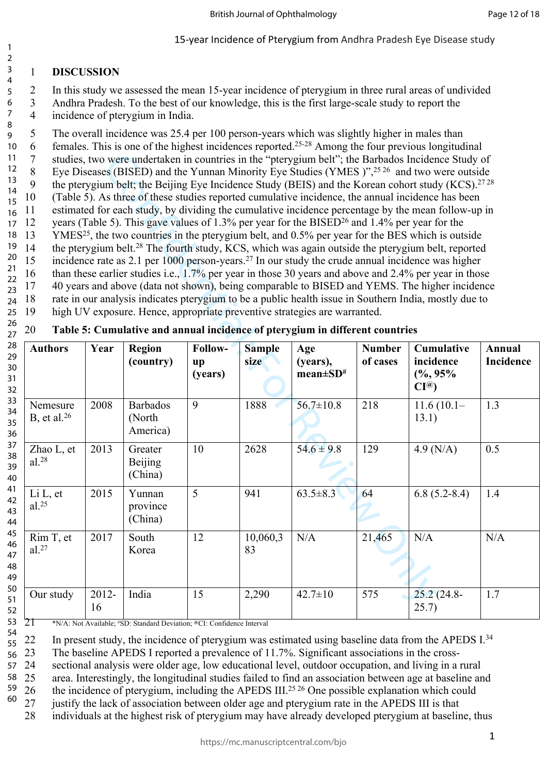#### 1 **DISCUSSION** 3

1 2

6 7

2 In this study we assessed the mean 15-year incidence of pterygium in three rural areas of undivided 4 5

- 3 Andhra Pradesh. To the best of our knowledge, this is the first large-scale study to report the 4 incidence of pterygium in India.
- 5 The overall incidence was 25.4 per 100 person-years which was slightly higher in males than 8 9
- 6 females. This is one of the highest incidences reported.25-28 Among the four previous longitudinal 10
- 7 studies, two were undertaken in countries in the "pterygium belt"; the Barbados Incidence Study of 11 12
- 8 Eye Diseases (BISED) and the Yunnan Minority Eye Studies (YMES)",<sup>25,26</sup> and two were outside 9 the pterygium belt; the Beijing Eye Incidence Study (BEIS) and the Korean cohort study (KCS).<sup>2728</sup> 13
- 10 (Table 5). As three of these studies reported cumulative incidence, the annual incidence has been 14
- 11 estimated for each study, by dividing the cumulative incidence percentage by the mean follow-up in 15 16
- 12 years (Table 5). This gave values of 1.3% per year for the BISED<sup>26</sup> and 1.4% per year for the 17
- 13 YMES<sup>25</sup>, the two countries in the pterygium belt, and 0.5% per year for the BES which is outside 18
- 14 the pterygium belt.<sup>28</sup> The fourth study, KCS, which was again outside the pterygium belt, reported 19 20
- 15 incidence rate as 2.1 per 1000 person-years.<sup>27</sup> In our study the crude annual incidence was higher 21
- 16 than these earlier studies i.e., 1.7% per year in those 30 years and above and 2.4% per year in those  $22$
- 17 40 years and above (data not shown), being comparable to BISED and YEMS. The higher incidence 23
- 18 rate in our analysis indicates pterygium to be a public health issue in Southern India, mostly due to 19 high UV exposure. Hence, appropriate preventive strategies are warranted. 24 25

| 11<br>studies, two were undertaken in countries in the "pterygium belt"; the Barbados Incidence Study of<br>$\overline{7}$<br>12<br>$8\,$<br>Eye Diseases (BISED) and the Yunnan Minority Eye Studies (YMES)", <sup>2526</sup> and two were outside<br>13<br>9<br>the pterygium belt; the Beijing Eye Incidence Study (BEIS) and the Korean cohort study (KCS). <sup>2728</sup><br>14<br>10<br>(Table 5). As three of these studies reported cumulative incidence, the annual incidence has been<br>15<br>estimated for each study, by dividing the cumulative incidence percentage by the mean follow-up in<br>11<br>16<br>years (Table 5). This gave values of 1.3% per year for the BISED <sup>26</sup> and 1.4% per year for the<br>12<br>17<br>YMES <sup>25</sup> , the two countries in the pterygium belt, and 0.5% per year for the BES which is outside<br>13<br>18<br>19<br>14<br>the pterygium belt. <sup>28</sup> The fourth study, KCS, which was again outside the pterygium belt, reported<br>20<br>15<br>incidence rate as $2.1$ per $1000$ person-years. <sup>27</sup> In our study the crude annual incidence was higher<br>21<br>16<br>than these earlier studies i.e., 1.7% per year in those 30 years and above and 2.4% per year in those<br>22<br>40 years and above (data not shown), being comparable to BISED and YEMS. The higher incidence<br>17<br>23<br>rate in our analysis indicates pterygium to be a public health issue in Southern India, mostly due to<br>18<br>24<br>19<br>high UV exposure. Hence, appropriate preventive strategies are warranted.<br>25 |                                    |             |                                                                                |                                   |                |                                                                                     |               |                                                |           |
|--------------------------------------------------------------------------------------------------------------------------------------------------------------------------------------------------------------------------------------------------------------------------------------------------------------------------------------------------------------------------------------------------------------------------------------------------------------------------------------------------------------------------------------------------------------------------------------------------------------------------------------------------------------------------------------------------------------------------------------------------------------------------------------------------------------------------------------------------------------------------------------------------------------------------------------------------------------------------------------------------------------------------------------------------------------------------------------------------------------------------------------------------------------------------------------------------------------------------------------------------------------------------------------------------------------------------------------------------------------------------------------------------------------------------------------------------------------------------------------------------------------------------------------------------------------------------------------------------|------------------------------------|-------------|--------------------------------------------------------------------------------|-----------------------------------|----------------|-------------------------------------------------------------------------------------|---------------|------------------------------------------------|-----------|
| 26<br>27<br>28                                                                                                                                                                                                                                                                                                                                                                                                                                                                                                                                                                                                                                                                                                                                                                                                                                                                                                                                                                                                                                                                                                                                                                                                                                                                                                                                                                                                                                                                                                                                                                                   | 20<br><b>Authors</b>               | Year        | <b>Region</b>                                                                  | Follow-                           | <b>Sample</b>  | Table 5: Cumulative and annual incidence of pterygium in different countries<br>Age | <b>Number</b> | Cumulative                                     | Annual    |
| 29<br>30<br>31<br>32                                                                                                                                                                                                                                                                                                                                                                                                                                                                                                                                                                                                                                                                                                                                                                                                                                                                                                                                                                                                                                                                                                                                                                                                                                                                                                                                                                                                                                                                                                                                                                             |                                    |             | (country)                                                                      | $\mathbf{u}\mathbf{p}$<br>(years) | size           | (years),<br>$mean \pm SD^*$                                                         | of cases      | incidence<br>$(\%9, 95\%$<br>CI <sup>(a)</sup> | Incidence |
| 33<br>34<br>35<br>36                                                                                                                                                                                                                                                                                                                                                                                                                                                                                                                                                                                                                                                                                                                                                                                                                                                                                                                                                                                                                                                                                                                                                                                                                                                                                                                                                                                                                                                                                                                                                                             | Nemesure<br>B, et al. $^{26}$      | 2008        | <b>Barbados</b><br>(North<br>America)                                          | 9                                 | 1888           | $56.7 \pm 10.8$                                                                     | 218           | $11.6(10.1 -$<br>13.1)                         | 1.3       |
| 37<br>38<br>39<br>40                                                                                                                                                                                                                                                                                                                                                                                                                                                                                                                                                                                                                                                                                                                                                                                                                                                                                                                                                                                                                                                                                                                                                                                                                                                                                                                                                                                                                                                                                                                                                                             | Zhao L, et<br>$al.^{28}$           | 2013        | Greater<br><b>Beijing</b><br>(China)                                           | 10                                | 2628           | $54.6 \pm 9.8$                                                                      | 129           | $4.9$ (N/A)                                    | 0.5       |
| 41<br>42<br>43<br>44                                                                                                                                                                                                                                                                                                                                                                                                                                                                                                                                                                                                                                                                                                                                                                                                                                                                                                                                                                                                                                                                                                                                                                                                                                                                                                                                                                                                                                                                                                                                                                             | $Li L$ , et<br>$al.$ <sup>25</sup> | 2015        | Yunnan<br>province<br>(China)                                                  | 5                                 | 941            | $63.5 \pm 8.3$                                                                      | 64            | $6.8(5.2-8.4)$                                 | 1.4       |
| 45<br>46<br>47<br>48<br>49                                                                                                                                                                                                                                                                                                                                                                                                                                                                                                                                                                                                                                                                                                                                                                                                                                                                                                                                                                                                                                                                                                                                                                                                                                                                                                                                                                                                                                                                                                                                                                       | Rim T, et<br>al.27                 | 2017        | South<br>Korea                                                                 | 12                                | 10,060,3<br>83 | N/A                                                                                 | 21,465        | N/A                                            | N/A       |
| 50<br>51<br>52<br>53                                                                                                                                                                                                                                                                                                                                                                                                                                                                                                                                                                                                                                                                                                                                                                                                                                                                                                                                                                                                                                                                                                                                                                                                                                                                                                                                                                                                                                                                                                                                                                             | Our study                          | 2012-<br>16 | India<br>$N/A$ Not Available $\#SD$ Standard Deviation @CI Confidence Interval | 15                                | 2,290          | $42.7 \pm 10$                                                                       | 575           | $25.2(24.8 -$<br>25.7)                         | 1.7       |

21 \*N/A: Not Available; #SD: Standard Deviation; **@**CI: Confidence Interval

22 In present study, the incidence of pterygium was estimated using baseline data from the APEDS I.<sup>34</sup> 54 55

23 The baseline APEDS I reported a prevalence of 11.7%. Significant associations in the cross-56

24 sectional analysis were older age, low educational level, outdoor occupation, and living in a rural 57

25 area. Interestingly, the longitudinal studies failed to find an association between age at baseline and 58 59

26 the incidence of pterygium, including the APEDS III.<sup>25,26</sup> One possible explanation which could<br>27 iustify the lack of association between older age and pterveium rate in the APEDS III is that 60

justify the lack of association between older age and pterygium rate in the APEDS III is that

28 individuals at the highest risk of pterygium may have already developed pterygium at baseline, thus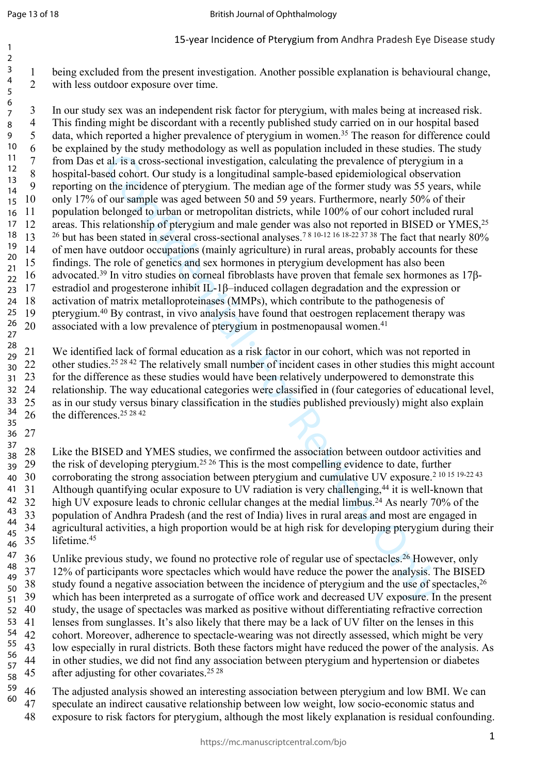27

36

1 being excluded from the present investigation. Another possible explanation is behavioural change, 2 with less outdoor exposure over time.

and its action and propagation, relativity the prevalence of pertygiun<br>al. is a cross-sectional investigation, calculating the prevalence of pertygiun<br>the incidence of pertygium. The median age of the former study was 55 3 In our study sex was an independent risk factor for pterygium, with males being at increased risk. 4 This finding might be discordant with a recently published study carried on in our hospital based 5 data, which reported a higher prevalence of pterygium in women.<sup>35</sup> The reason for difference could 6 be explained by the study methodology as well as population included in these studies. The study 7 from Das et al. is a cross-sectional investigation, calculating the prevalence of pterygium in a 8 hospital-based cohort. Our study is a longitudinal sample-based epidemiological observation 9 reporting on the incidence of pterygium. The median age of the former study was 55 years, while 10 only 17% of our sample was aged between 50 and 59 years. Furthermore, nearly 50% of their 11 population belonged to urban or metropolitan districts, while 100% of our cohort included rural 12 areas. This relationship of pterygium and male gender was also not reported in BISED or YMES,<sup>25</sup> 13 <sup>26</sup> but has been stated in several cross-sectional analyses.7 8 10-12 16 18-22 37 38 The fact that nearly 80% 14 of men have outdoor occupations (mainly agriculture) in rural areas, probably accounts for these 15 findings. The role of genetics and sex hormones in pterygium development has also been 16 advocated.39 In vitro studies on corneal fibroblasts have proven that female sex hormones as 17β-17 estradiol and progesterone inhibit IL-1β–induced collagen degradation and the expression or 18 activation of matrix metalloproteinases (MMPs), which contribute to the pathogenesis of 19 pterygium.<sup>40</sup> By contrast, in vivo analysis have found that oestrogen replacement therapy was 20 associated with a low prevalence of pterygium in postmenopausal women.<sup>41</sup> 6 7 8 9 10 11 12 13 14 15 16 17 18 19 20 21  $22$ 23 24 25 26 27

21 We identified lack of formal education as a risk factor in our cohort, which was not reported in 22 other studies.<sup>25 28 42</sup> The relatively small number of incident cases in other studies this might account 23 for the difference as these studies would have been relatively underpowered to demonstrate this 24 relationship. The way educational categories were classified in (four categories of educational level, 25 as in our study versus binary classification in the studies published previously) might also explain 26 the differences.25 28 42 28 29 30 31 32 33 34 35

28 Like the BISED and YMES studies, we confirmed the association between outdoor activities and 29 the risk of developing pterygium.<sup>25 26</sup> This is the most compelling evidence to date, further 30 corroborating the strong association between pterygium and cumulative UV exposure.2 10 15 19-22 43 31 Although quantifying ocular exposure to UV radiation is very challenging,<sup>44</sup> it is well-known that 32 high UV exposure leads to chronic cellular changes at the medial limbus.<sup>24</sup> As nearly 70% of the 33 population of Andhra Pradesh (and the rest of India) lives in rural areas and most are engaged in 34 agricultural activities, a high proportion would be at high risk for developing pterygium during their 35 lifetime.<sup>45</sup> 37 38 39 40 30 41 42 43 44 45 46

36 Unlike previous study, we found no protective role of regular use of spectacles.<sup>26</sup> However, only 37 12% of participants wore spectacles which would have reduce the power the analysis. The BISED 38 study found a negative association between the incidence of pterygium and the use of spectacles,<sup>26</sup> 39 which has been interpreted as a surrogate of office work and decreased UV exposure. In the present 40 study, the usage of spectacles was marked as positive without differentiating refractive correction 41 lenses from sunglasses. It's also likely that there may be a lack of UV filter on the lenses in this 42 cohort. Moreover, adherence to spectacle-wearing was not directly assessed, which might be very 43 low especially in rural districts. Both these factors might have reduced the power of the analysis. As 44 in other studies, we did not find any association between pterygium and hypertension or diabetes 45 after adjusting for other covariates.<sup>25,28</sup> 47 48 49 50 51 52 53 54 55 56 57 58

46 The adjusted analysis showed an interesting association between pterygium and low BMI. We can 47 speculate an indirect causative relationship between low weight, low socio-economic status and 48 exposure to risk factors for pterygium, although the most likely explanation is residual confounding. 59 60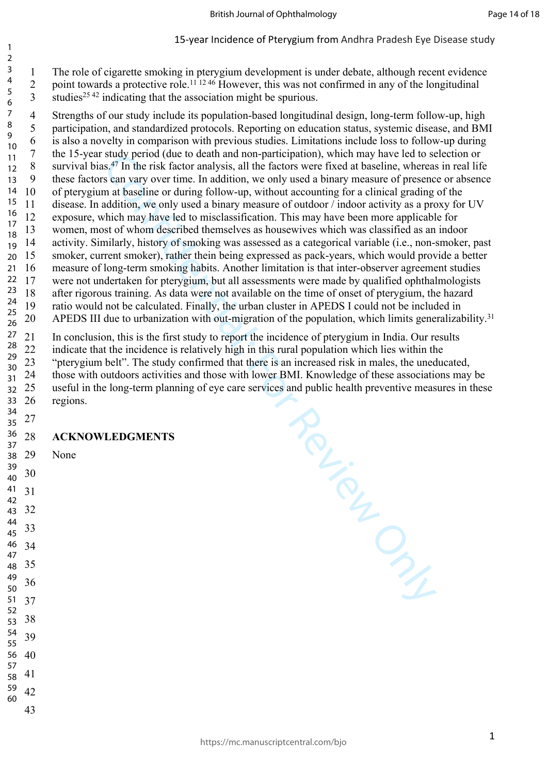1 The role of cigarette smoking in pterygium development is under debate, although recent evidence 2 point towards a protective role.<sup>11 12 46</sup> However, this was not confirmed in any of the longitudinal studies<sup>25,42</sup> indicating that the association might be spurious. 

4 Strengths of our study include its population-based longitudinal design, long-term follow-up, high 5 participation, and standardized protocols. Reporting on education status, systemic disease, and BMI 6 is also a novelty in comparison with previous studies. Limitations include loss to follow-up during 7 the 15-year study period (due to death and non-participation), which may have led to selection or 8 survival bias.<sup>47</sup> In the risk factor analysis, all the factors were fixed at baseline, whereas in real life 9 these factors can vary over time. In addition, we only used a binary measure of presence or absence 10 of pterygium at baseline or during follow-up, without accounting for a clinical grading of the 11 disease. In addition, we only used a binary measure of outdoor / indoor activity as a proxy for UV 12 exposure, which may have led to misclassification. This may have been more applicable for 13 women, most of whom described themselves as housewives which was classified as an indoor 14 activity. Similarly, history of smoking was assessed as a categorical variable (i.e., non-smoker, past 15 smoker, current smoker), rather thein being expressed as pack-years, which would provide a better 16 measure of long-term smoking habits. Another limitation is that inter-observer agreement studies 17 were not undertaken for pterygium, but all assessments were made by qualified ophthalmologists 18 after rigorous training. As data were not available on the time of onset of pterygium, the hazard 19 ratio would not be calculated. Finally, the urban cluster in APEDS I could not be included in 20 APEDS III due to urbanization with out-migration of the population, which limits generalizability.<sup>31</sup> 

Review Only 21 In conclusion, this is the first study to report the incidence of pterygium in India. Our results 22 indicate that the incidence is relatively high in this rural population which lies within the 23 "pterygium belt". The study confirmed that there is an increased risk in males, the uneducated, 24 those with outdoors activities and those with lower BMI. Knowledge of these associations may be 25 useful in the long-term planning of eye care services and public health preventive measures in these 26 regions. 

### **ACKNOWLEDGMENTS**

29 None

 

> 

> 

>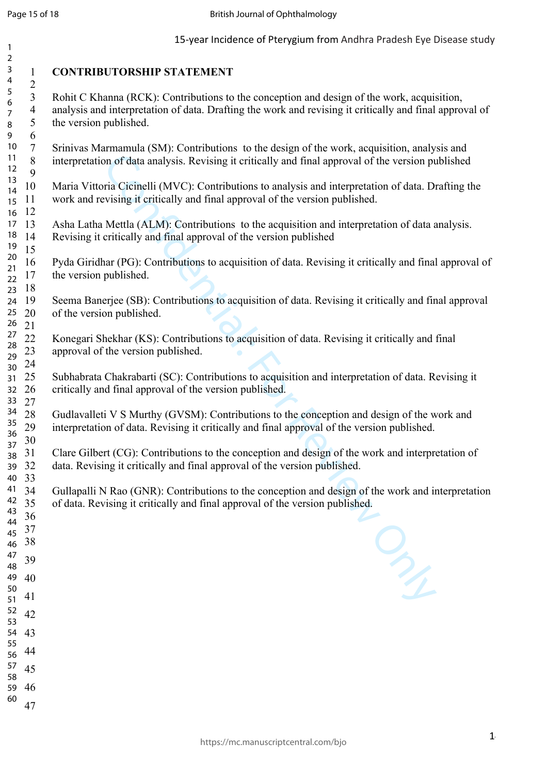| $\mathbf{1}$             |                                                                       | 15-year Incidence of Pterygium from Andhra Pradesh Eye Disease study                                                                                                                                                            |
|--------------------------|-----------------------------------------------------------------------|---------------------------------------------------------------------------------------------------------------------------------------------------------------------------------------------------------------------------------|
| $\overline{a}$<br>3<br>4 | $\mathbf{1}$                                                          | <b>CONTRIBUTORSHIP STATEMENT</b>                                                                                                                                                                                                |
| 5<br>6<br>7<br>8         | $\overline{2}$<br>$\mathfrak{Z}$<br>$\overline{4}$<br>$\sqrt{5}$<br>6 | Rohit C Khanna (RCK): Contributions to the conception and design of the work, acquisition,<br>analysis and interpretation of data. Drafting the work and revising it critically and final approval of<br>the version published. |
| 9<br>10<br>11<br>12      | $\tau$<br>$\,8\,$<br>9                                                | Srinivas Marmamula (SM): Contributions to the design of the work, acquisition, analysis and<br>interpretation of data analysis. Revising it critically and final approval of the version published                              |
| 13<br>14<br>15           | 10<br>11                                                              | Maria Vittoria Cicinelli (MVC): Contributions to analysis and interpretation of data. Drafting the<br>work and revising it critically and final approval of the version published.                                              |
| 16<br>17<br>18<br>19     | 12<br>13<br>14<br>15                                                  | Asha Latha Mettla (ALM): Contributions to the acquisition and interpretation of data analysis.<br>Revising it critically and final approval of the version published                                                            |
| 20<br>21<br>22<br>23     | 16<br>17<br>18                                                        | Pyda Giridhar (PG): Contributions to acquisition of data. Revising it critically and final approval of<br>the version published.                                                                                                |
| 24<br>25<br>26           | 19<br>20<br>21                                                        | Seema Banerjee (SB): Contributions to acquisition of data. Revising it critically and final approval<br>of the version published.                                                                                               |
| 27<br>28<br>29           | 22<br>$23\,$<br>24                                                    | Konegari Shekhar (KS): Contributions to acquisition of data. Revising it critically and final<br>approval of the version published.                                                                                             |
| 30<br>31<br>32<br>33     | 25<br>26<br>27                                                        | Subhabrata Chakrabarti (SC): Contributions to acquisition and interpretation of data. Revising it<br>critically and final approval of the version published.                                                                    |
| 34<br>35<br>36           | 28<br>29<br>30                                                        | Gudlavalleti V S Murthy (GVSM): Contributions to the conception and design of the work and<br>interpretation of data. Revising it critically and final approval of the version published.                                       |
| 37<br>38<br>39<br>40     | 31<br>32<br>33                                                        | Clare Gilbert (CG): Contributions to the conception and design of the work and interpretation of<br>data. Revising it critically and final approval of the version published.                                                   |
| 41<br>42<br>43           | 34<br>35<br>36                                                        | Gullapalli N Rao (GNR): Contributions to the conception and design of the work and interpretation<br>of data. Revising it critically and final approval of the version published.                                               |
| 44<br>45<br>46           | 37<br>38                                                              |                                                                                                                                                                                                                                 |
| 47<br>48                 | 39                                                                    | $\frac{1}{2}$                                                                                                                                                                                                                   |
| 49<br>50                 | 40                                                                    |                                                                                                                                                                                                                                 |
| 51<br>52                 | 41                                                                    |                                                                                                                                                                                                                                 |
| 53                       | 42                                                                    |                                                                                                                                                                                                                                 |
| 54<br>55                 | 43                                                                    |                                                                                                                                                                                                                                 |
| 56<br>57                 | 44                                                                    |                                                                                                                                                                                                                                 |
| 58                       | 45                                                                    |                                                                                                                                                                                                                                 |
| 59<br>60                 | 46<br>47                                                              |                                                                                                                                                                                                                                 |
|                          |                                                                       |                                                                                                                                                                                                                                 |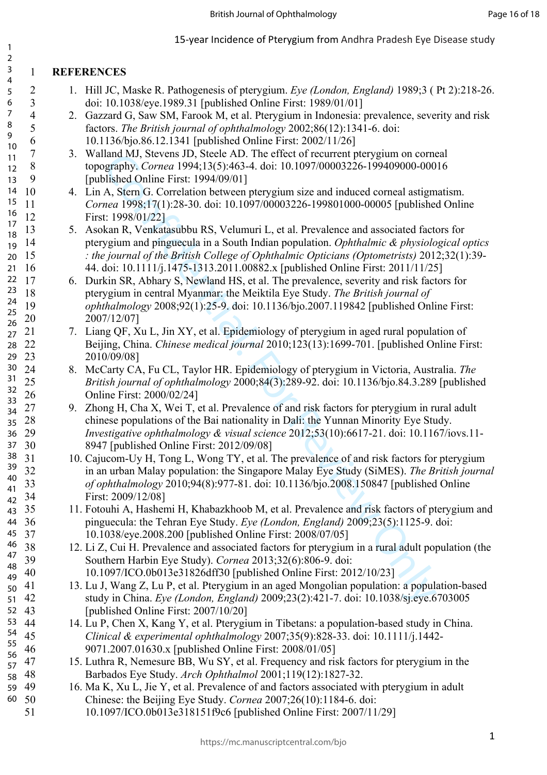#### 1 **REFERENCES**

- 2 1. Hill JC, Maske R. Pathogenesis of pterygium. *Eye (London, England)* 1989;3 ( Pt 2):218-26. 3 doi: 10.1038/eye.1989.31 [published Online First: 1989/01/01]
- 4 2. Gazzard G, Saw SM, Farook M, et al. Pterygium in Indonesia: prevalence, severity and risk 5 factors. *The British journal of ophthalmology* 2002;86(12):1341-6. doi: 6 10.1136/bjo.86.12.1341 [published Online First: 2002/11/26]
- 7 3. Walland MJ, Stevens JD, Steele AD. The effect of recurrent pterygium on corneal 8 topography. *Cornea* 1994;13(5):463-4. doi: 10.1097/00003226-199409000-00016 9 [published Online First: 1994/09/01]
- 10 4. Lin A, Stern G. Correlation between pterygium size and induced corneal astigmatism. 11 *Cornea* 1998;17(1):28-30. doi: 10.1097/00003226-199801000-00005 [published Online 12 First: 1998/01/22]
- 13 5. Asokan R, Venkatasubbu RS, Velumuri L, et al. Prevalence and associated factors for 14 pterygium and pinguecula in a South Indian population. *Ophthalmic & physiological optics*  15 *: the journal of the British College of Ophthalmic Opticians (Optometrists)* 2012;32(1):39- 16 44. doi: 10.1111/j.1475-1313.2011.00882.x [published Online First: 2011/11/25]
- land MJ, Sievens D. Siecle AD. The effect of recurrent plerygium on cometar<br>apply, Comea 1994;13(5):443-4. doi: 10.1097/00003226-199409000-000<br>
dished Online First: 1994/09/01]<br>
A, Stern G. Correlation between pterygium s 17 6. Durkin SR, Abhary S, Newland HS, et al. The prevalence, severity and risk factors for 18 pterygium in central Myanmar: the Meiktila Eye Study. *The British journal of*  19 *ophthalmology* 2008;92(1):25-9. doi: 10.1136/bjo.2007.119842 [published Online First: 20 2007/12/07]
	- 21 7. Liang QF, Xu L, Jin XY, et al. Epidemiology of pterygium in aged rural population of 22 Beijing, China. *Chinese medical journal* 2010;123(13):1699-701. [published Online First: 23 2010/09/08]
- 24 8. McCarty CA, Fu CL, Taylor HR. Epidemiology of pterygium in Victoria, Australia. *The*  25 *British journal of ophthalmology* 2000;84(3):289-92. doi: 10.1136/bjo.84.3.289 [published 26 Online First: 2000/02/24]
- 9. Zhong H, Cha X, Wei T, et al. Prevalence of and risk factors for pterygium in rural adult 28 chinese populations of the Bai nationality in Dali: the Yunnan Minority Eye Study. 29 *Investigative ophthalmology & visual science* 2012;53(10):6617-21. doi: 10.1167/iovs.11- 30 8947 [published Online First: 2012/09/08]
- 31 10. Cajucom-Uy H, Tong L, Wong TY, et al. The prevalence of and risk factors for pterygium 32 in an urban Malay population: the Singapore Malay Eye Study (SiMES). *The British journal*  33 *of ophthalmology* 2010;94(8):977-81. doi: 10.1136/bjo.2008.150847 [published Online First: 2009/12/08]
- 35 11. Fotouhi A, Hashemi H, Khabazkhoob M, et al. Prevalence and risk factors of pterygium and 36 pinguecula: the Tehran Eye Study. *Eye (London, England)* 2009;23(5):1125-9. doi: 37 10.1038/eye.2008.200 [published Online First: 2008/07/05]
- 12. Li Z, Cui H. Prevalence and associated factors for pterygium in a rural adult population (the 39 Southern Harbin Eye Study). *Cornea* 2013;32(6):806-9. doi: 40 10.1097/ICO.0b013e31826dff30 [published Online First: 2012/10/23]
	- 41 13. Lu J, Wang Z, Lu P, et al. Pterygium in an aged Mongolian population: a population-based 42 study in China. *Eye (London, England)* 2009;23(2):421-7. doi: 10.1038/sj.eye.6703005 [published Online First: 2007/10/20]
- 44 14. Lu P, Chen X, Kang Y, et al. Pterygium in Tibetans: a population-based study in China. 45 *Clinical & experimental ophthalmology* 2007;35(9):828-33. doi: 10.1111/j.1442- 46 9071.2007.01630.x [published Online First: 2008/01/05]
	- 47 15. Luthra R, Nemesure BB, Wu SY, et al. Frequency and risk factors for pterygium in the 48 Barbados Eye Study. *Arch Ophthalmol* 2001;119(12):1827-32.
	- 16. Ma K, Xu L, Jie Y, et al. Prevalence of and factors associated with ptervgium in adult 50 Chinese: the Beijing Eye Study. *Cornea* 2007;26(10):1184-6. doi:
- 51 10.1097/ICO.0b013e318151f9c6 [published Online First: 2007/11/29]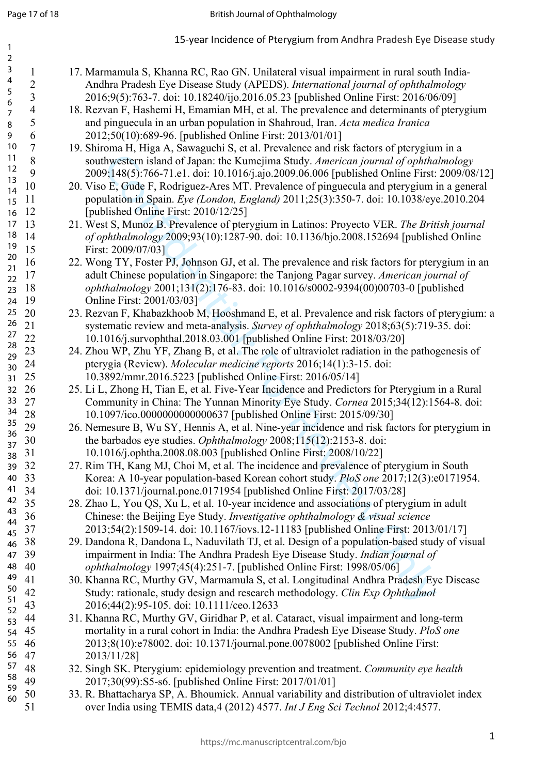hytestern island of Japan. the Kumejima Study. American journal of phiha<br>hytestern island of Japan. the Kumejima Study. American journal of phiha<br>hytestern island of Japan. the Kumejima Study. American journal of phiha<br>191 1 17. Marmamula S, Khanna RC, Rao GN. Unilateral visual impairment in rural south India-2 Andhra Pradesh Eye Disease Study (APEDS). *International journal of ophthalmology* 3 2016;9(5):763-7. doi: 10.18240/ijo.2016.05.23 [published Online First: 2016/06/09] 4 18. Rezvan F, Hashemi H, Emamian MH, et al. The prevalence and determinants of pterygium 5 and pinguecula in an urban population in Shahroud, Iran. *Acta medica Iranica* 6 2012;50(10):689-96. [published Online First: 2013/01/01] 7 19. Shiroma H, Higa A, Sawaguchi S, et al. Prevalence and risk factors of pterygium in a 8 southwestern island of Japan: the Kumejima Study. *American journal of ophthalmology* 9 2009;148(5):766-71.e1. doi: 10.1016/j.ajo.2009.06.006 [published Online First: 2009/08/12] 10 20. Viso E, Gude F, Rodriguez-Ares MT. Prevalence of pinguecula and pterygium in a general 11 population in Spain. *Eye (London, England)* 2011;25(3):350-7. doi: 10.1038/eye.2010.204 12 [published Online First: 2010/12/25] 13 21. West S, Munoz B. Prevalence of pterygium in Latinos: Proyecto VER. *The British journal*  14 *of ophthalmology* 2009;93(10):1287-90. doi: 10.1136/bjo.2008.152694 [published Online 15 First: 2009/07/03] 16 22. Wong TY, Foster PJ, Johnson GJ, et al. The prevalence and risk factors for pterygium in an 17 adult Chinese population in Singapore: the Tanjong Pagar survey. *American journal of*  18 *ophthalmology* 2001;131(2):176-83. doi: 10.1016/s0002-9394(00)00703-0 [published Online First: 2001/03/03] 23. Rezvan F, Khabazkhoob M, Hooshmand E, et al. Prevalence and risk factors of pterygium: a 21 systematic review and meta-analysis. *Survey of ophthalmology* 2018;63(5):719-35. doi: 22 10.1016/j.survophthal.2018.03.001 [published Online First: 2018/03/20] 23 24. Zhou WP, Zhu YF, Zhang B, et al. The role of ultraviolet radiation in the pathogenesis of 24 pterygia (Review). *Molecular medicine reports* 2016;14(1):3-15. doi: 25 10.3892/mmr.2016.5223 [published Online First: 2016/05/14] 26 25. Li L, Zhong H, Tian E, et al. Five-Year Incidence and Predictors for Pterygium in a Rural 27 Community in China: The Yunnan Minority Eye Study. *Cornea* 2015;34(12):1564-8. doi: 28 10.1097/ico.0000000000000637 [published Online First: 2015/09/30] 29 26. Nemesure B, Wu SY, Hennis A, et al. Nine-year incidence and risk factors for pterygium in 30 the barbados eye studies. *Ophthalmology* 2008;115(12):2153-8. doi: 31 10.1016/j.ophtha.2008.08.003 [published Online First: 2008/10/22] 32 27. Rim TH, Kang MJ, Choi M, et al. The incidence and prevalence of pterygium in South 33 Korea: A 10-year population-based Korean cohort study. *PloS one* 2017;12(3):e0171954. 34 doi: 10.1371/journal.pone.0171954 [published Online First: 2017/03/28] 35 28. Zhao L, You QS, Xu L, et al. 10-year incidence and associations of pterygium in adult 36 Chinese: the Beijing Eye Study. *Investigative ophthalmology & visual science* 37 2013;54(2):1509-14. doi: 10.1167/iovs.12-11183 [published Online First: 2013/01/17] 38 29. Dandona R, Dandona L, Naduvilath TJ, et al. Design of a population-based study of visual 39 impairment in India: The Andhra Pradesh Eye Disease Study. *Indian journal of*  40 *ophthalmology* 1997;45(4):251-7. [published Online First: 1998/05/06] 41 30. Khanna RC, Murthy GV, Marmamula S, et al. Longitudinal Andhra Pradesh Eye Disease 42 Study: rationale, study design and research methodology. *Clin Exp Ophthalmol* 43 2016;44(2):95-105. doi: 10.1111/ceo.12633 44 31. Khanna RC, Murthy GV, Giridhar P, et al. Cataract, visual impairment and long-term 45 mortality in a rural cohort in India: the Andhra Pradesh Eye Disease Study. *PloS one* 46 2013;8(10):e78002. doi: 10.1371/journal.pone.0078002 [published Online First: 2013/11/28] 48 32. Singh SK. Pterygium: epidemiology prevention and treatment. *Community eye health* 49 2017;30(99):S5-s6. [published Online First: 2017/01/01] 50 33. R. Bhattacharya SP, A. Bhoumick. Annual variability and distribution of ultraviolet index 51 over India using TEMIS data,4 (2012) 4577. *Int J Eng Sci Technol* 2012;4:4577. 1 2 3 4 5 6 7 8 9 10 11 12 13 14 15 16 17 18 14 19 20 21  $22$ 23 24 19  $25 \t20$ 26 21 27 28 29 30 24 31 25 32 26 33 27 34 35 36 37 38 31 39 32 40 33 41 34 42 43 44 45 46 38 47 39 48 40 49 50 51 52 53 54 45 55 46 56 47 57 58 59 60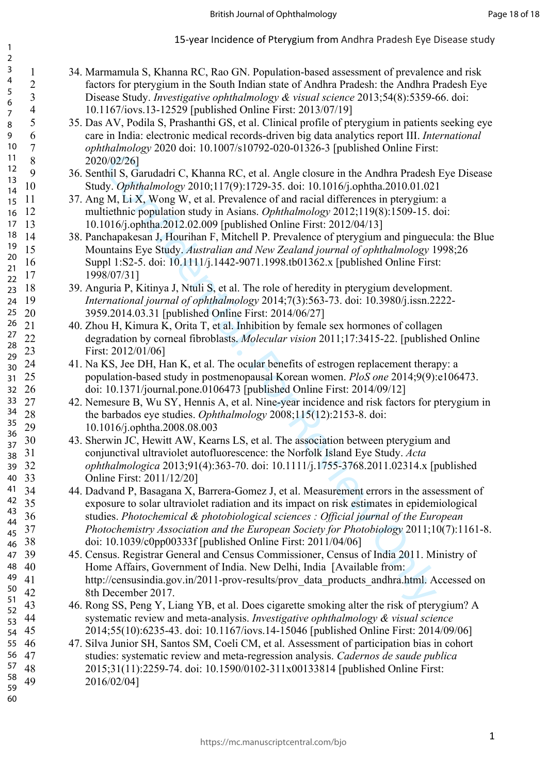1 34. Marmamula S, Khanna RC, Rao GN. Population-based assessment of prevalence and risk 2 factors for pterygium in the South Indian state of Andhra Pradesh: the Andhra Pradesh Eye 3 Disease Study. *Investigative ophthalmology & visual science* 2013;54(8):5359-66. doi: 4 10.1167/iovs.13-12529 [published Online First: 2013/07/19] 5 35. Das AV, Podila S, Prashanthi GS, et al. Clinical profile of pterygium in patients seeking eye 6 care in India: electronic medical records-driven big data analytics report III. *International*  7 *ophthalmology* 2020 doi: 10.1007/s10792-020-01326-3 [published Online First: 8 2020/02/26] 9 36. Senthil S, Garudadri C, Khanna RC, et al. Angle closure in the Andhra Pradesh Eye Disease 10 Study. *Ophthalmology* 2010;117(9):1729-35. doi: 10.1016/j.ophtha.2010.01.021 11 37. Ang M, Li X, Wong W, et al. Prevalence of and racial differences in pterveium: a 12 multiethnic population study in Asians. *Ophthalmology* 2012;119(8):1509-15. doi: 13 10.1016/j.ophtha.2012.02.009 [published Online First: 2012/04/13] 14 38. Panchapakesan J, Hourihan F, Mitchell P. Prevalence of pterygium and pinguecula: the Blue 15 Mountains Eye Study. *Australian and New Zealand journal of ophthalmology* 1998;26 16 Suppl 1:S2-5. doi: 10.1111/j.1442-9071.1998.tb01362.x [published Online First: 17 1998/07/31] 18 39. Anguria P, Kitinya J, Ntuli S, et al. The role of heredity in pterygium development. 19 *International journal of ophthalmology* 2014;7(3):563-73. doi: 10.3980/j.issn.2222- 20 3959.2014.03.31 [published Online First: 2014/06/27] 21 40. Zhou H, Kimura K, Orita T, et al. Inhibition by female sex hormones of collagen 22 degradation by corneal fibroblasts. *Molecular vision* 2011;17:3415-22. [published Online 23 First: 2012/01/06] 24 41. Na KS, Jee DH, Han K, et al. The ocular benefits of estrogen replacement therapy: a 25 population-based study in postmenopausal Korean women. *PloS one* 2014;9(9):e106473. 26 doi: 10.1371/journal.pone.0106473 [published Online First: 2014/09/12] 27 42. Nemesure B, Wu SY, Hennis A, et al. Nine-year incidence and risk factors for pterygium in 28 the barbados eye studies. *Ophthalmology* 2008;115(12):2153-8. doi: 29 10.1016/j.ophtha.2008.08.003 43. Sherwin JC, Hewitt AW, Kearns LS, et al. The association between pterygium and 31 conjunctival ultraviolet autofluorescence: the Norfolk Island Eye Study. *Acta*  32 *ophthalmologica* 2013;91(4):363-70. doi: 10.1111/j.1755-3768.2011.02314.x [published 33 Online First: 2011/12/20] 34 44. Dadvand P, Basagana X, Barrera-Gomez J, et al. Measurement errors in the assessment of 35 exposure to solar ultraviolet radiation and its impact on risk estimates in epidemiological 36 studies. *Photochemical & photobiological sciences : Official journal of the European*  37 *Photochemistry Association and the European Society for Photobiology* 2011;10(7):1161-8. 49 2016/02/04] 2 3 4 5 6 7 8 9 10 11 12 13 14 15 16 17 18 14 19 20 21  $22$ 23 24 19 25 20 26 21 27 28 29 30 24 31 25 32 26 33 27 34 35 36 37 38 31 39 32 40 33 41 34 42  $35$ 43 44 45 37 46 38 47 39 48 40 49 50 51 52 53 54 45 55 46 56 47 57 58

- 59 60
- 0022201<br>
2022/20]<br>
2022/20]<br>
2022/20]<br>
2022/20]<br>
2022/20]<br>
2022/20]<br>
2022/20]<br>
2022/20]<br>
2010,117(9):1729-35. doi: 10.1016/j.ophtha.2010.01.021<br>
2.M, Li.X, Wong W, ctal. Prevalence of and reaid differences in pterygium:<br> 38 doi: 10.1039/c0pp00333f [published Online First: 2011/04/06] 39 45. Census. Registrar General and Census Commissioner, Census of India 2011. Ministry of Home Affairs, Government of India. New Delhi, India [Available from: 41 http://censusindia.gov.in/2011-prov-results/prov\_data\_products\_andhra.html. Accessed on 8th December 2017. 43 46. Rong SS, Peng Y, Liang YB, et al. Does cigarette smoking alter the risk of pterygium? A systematic review and meta-analysis. *Investigative ophthalmology & visual science* 45 2014;55(10):6235-43. doi: 10.1167/iovs.14-15046 [published Online First: 2014/09/06] 47. Silva Junior SH, Santos SM, Coeli CM, et al. Assessment of participation bias in cohort 47 studies: systematic review and meta-regression analysis. *Cadernos de saude publica* 48 2015;31(11):2259-74. doi: 10.1590/0102-311x00133814 [published Online First: https://mc.manuscriptcentral.com/bjo